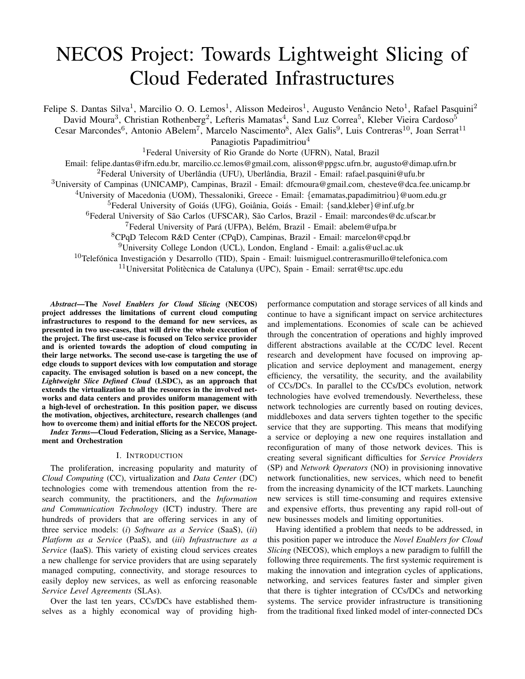# NECOS Project: Towards Lightweight Slicing of Cloud Federated Infrastructures

Felipe S. Dantas Silva<sup>1</sup>, Marcilio O. O. Lemos<sup>1</sup>, Alisson Medeiros<sup>1</sup>, Augusto Venâncio Neto<sup>1</sup>, Rafael Pasquini<sup>2</sup> David Moura<sup>3</sup>, Christian Rothenberg<sup>2</sup>, Lefteris Mamatas<sup>4</sup>, Sand Luz Correa<sup>5</sup>, Kleber Vieira Cardoso<sup>5</sup> Cesar Marcondes<sup>6</sup>, Antonio ABelem<sup>7</sup>, Marcelo Nascimento<sup>8</sup>, Alex Galis<sup>9</sup>, Luis Contreras<sup>10</sup>, Joan Serrat<sup>11</sup> Panagiotis Papadimitriou<sup>4</sup> <sup>1</sup>Federal University of Rio Grande do Norte (UFRN), Natal, Brazil Email: felipe.dantas@ifrn.edu.br, marcilio.cc.lemos@gmail.com, alisson@ppgsc.ufrn.br, augusto@dimap.ufrn.br <sup>2</sup>Federal University of Uberlândia (UFU), Uberlândia, Brazil - Email: rafael.pasquini@ufu.br  $3$ University of Campinas (UNICAMP), Campinas, Brazil - Email: dfcmoura@gmail.com, chesteve@dca.fee.unicamp.br <sup>4</sup>University of Macedonia (UOM), Thessaloniki, Greece - Email: {emamatas,papadimitriou}@uom.edu.gr <sup>5</sup>Federal University of Goiás (UFG), Goiânia, Goiás - Email: {sand,kleber}@inf.ufg.br  ${}^{6}$ Federal University of São Carlos (UFSCAR), São Carlos, Brazil - Email: marcondes@dc.ufscar.br <sup>7</sup>Federal University of Pará (UFPA), Belém, Brazil - Email: abelem@ufpa.br <sup>8</sup>CPqD Telecom R&D Center (CPqD), Campinas, Brazil - Email: marcelon@cpqd.br <sup>9</sup>University College London (UCL), London, England - Email: a.galis@ucl.ac.uk  $10$ Telefónica Investigación y Desarrollo (TID), Spain - Email: luismiguel.contrerasmurillo@telefonica.com  $11$ Universitat Politècnica de Catalunya (UPC), Spain - Email: serrat@tsc.upc.edu

*Abstract*—The *Novel Enablers for Cloud Slicing* (NECOS) project addresses the limitations of current cloud computing infrastructures to respond to the demand for new services, as presented in two use-cases, that will drive the whole execution of the project. The first use-case is focused on Telco service provider and is oriented towards the adoption of cloud computing in their large networks. The second use-case is targeting the use of edge clouds to support devices with low computation and storage capacity. The envisaged solution is based on a new concept, the *Lightweight Slice Defined Cloud* (LSDC), as an approach that extends the virtualization to all the resources in the involved networks and data centers and provides uniform management with a high-level of orchestration. In this position paper, we discuss the motivation, objectives, architecture, research challenges (and how to overcome them) and initial efforts for the NECOS project.

*Index Terms*—Cloud Federation, Slicing as a Service, Management and Orchestration

## I. INTRODUCTION

The proliferation, increasing popularity and maturity of *Cloud Computing* (CC), virtualization and *Data Center* (DC) technologies come with tremendous attention from the research community, the practitioners, and the *Information and Communication Technology* (ICT) industry. There are hundreds of providers that are offering services in any of three service models: (*i*) *Software as a Service* (SaaS), (*ii*) *Platform as a Service* (PaaS), and (*iii*) *Infrastructure as a Service* (IaaS). This variety of existing cloud services creates a new challenge for service providers that are using separately managed computing, connectivity, and storage resources to easily deploy new services, as well as enforcing reasonable *Service Level Agreements* (SLAs).

Over the last ten years, CCs/DCs have established themselves as a highly economical way of providing high-

performance computation and storage services of all kinds and continue to have a significant impact on service architectures and implementations. Economies of scale can be achieved through the concentration of operations and highly improved different abstractions available at the CC/DC level. Recent research and development have focused on improving application and service deployment and management, energy efficiency, the versatility, the security, and the availability of CCs/DCs. In parallel to the CCs/DCs evolution, network technologies have evolved tremendously. Nevertheless, these network technologies are currently based on routing devices, middleboxes and data servers tighten together to the specific service that they are supporting. This means that modifying a service or deploying a new one requires installation and reconfiguration of many of those network devices. This is creating several significant difficulties for *Service Providers* (SP) and *Network Operators* (NO) in provisioning innovative network functionalities, new services, which need to benefit from the increasing dynamicity of the ICT markets. Launching new services is still time-consuming and requires extensive and expensive efforts, thus preventing any rapid roll-out of new businesses models and limiting opportunities.

Having identified a problem that needs to be addressed, in this position paper we introduce the *Novel Enablers for Cloud Slicing* (NECOS), which employs a new paradigm to fulfill the following three requirements. The first systemic requirement is making the innovation and integration cycles of applications, networking, and services features faster and simpler given that there is tighter integration of CCs/DCs and networking systems. The service provider infrastructure is transitioning from the traditional fixed linked model of inter-connected DCs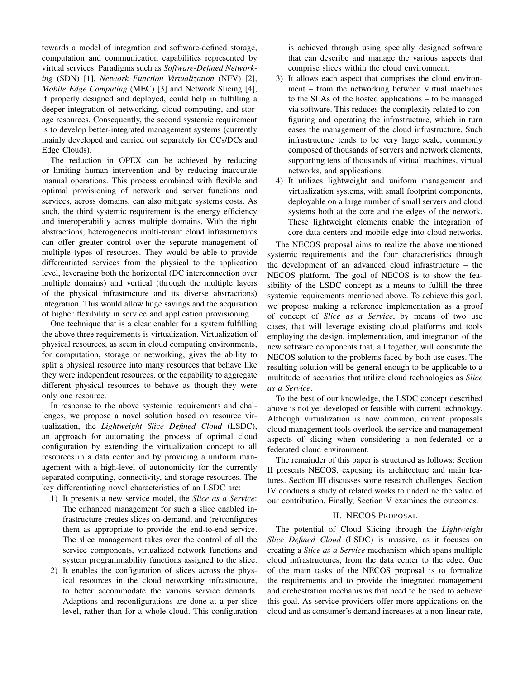towards a model of integration and software-defined storage, computation and communication capabilities represented by virtual services. Paradigms such as *Software-Defined Networking* (SDN) [1], *Network Function Virtualization* (NFV) [2], *Mobile Edge Computing* (MEC) [3] and Network Slicing [4], if properly designed and deployed, could help in fulfilling a deeper integration of networking, cloud computing, and storage resources. Consequently, the second systemic requirement is to develop better-integrated management systems (currently mainly developed and carried out separately for CCs/DCs and Edge Clouds).

The reduction in OPEX can be achieved by reducing or limiting human intervention and by reducing inaccurate manual operations. This process combined with flexible and optimal provisioning of network and server functions and services, across domains, can also mitigate systems costs. As such, the third systemic requirement is the energy efficiency and interoperability across multiple domains. With the right abstractions, heterogeneous multi-tenant cloud infrastructures can offer greater control over the separate management of multiple types of resources. They would be able to provide differentiated services from the physical to the application level, leveraging both the horizontal (DC interconnection over multiple domains) and vertical (through the multiple layers of the physical infrastructure and its diverse abstractions) integration. This would allow huge savings and the acquisition of higher flexibility in service and application provisioning.

One technique that is a clear enabler for a system fulfilling the above three requirements is virtualization. Virtualization of physical resources, as seem in cloud computing environments, for computation, storage or networking, gives the ability to split a physical resource into many resources that behave like they were independent resources, or the capability to aggregate different physical resources to behave as though they were only one resource.

In response to the above systemic requirements and challenges, we propose a novel solution based on resource virtualization, the *Lightweight Slice Defined Cloud* (LSDC), an approach for automating the process of optimal cloud configuration by extending the virtualization concept to all resources in a data center and by providing a uniform management with a high-level of autonomicity for the currently separated computing, connectivity, and storage resources. The key differentiating novel characteristics of an LSDC are:

- 1) It presents a new service model, the *Slice as a Service*: The enhanced management for such a slice enabled infrastructure creates slices on-demand, and (re)configures them as appropriate to provide the end-to-end service. The slice management takes over the control of all the service components, virtualized network functions and system programmability functions assigned to the slice.
- 2) It enables the configuration of slices across the physical resources in the cloud networking infrastructure, to better accommodate the various service demands. Adaptions and reconfigurations are done at a per slice level, rather than for a whole cloud. This configuration

is achieved through using specially designed software that can describe and manage the various aspects that comprise slices within the cloud environment.

- 3) It allows each aspect that comprises the cloud environment – from the networking between virtual machines to the SLAs of the hosted applications – to be managed via software. This reduces the complexity related to configuring and operating the infrastructure, which in turn eases the management of the cloud infrastructure. Such infrastructure tends to be very large scale, commonly composed of thousands of servers and network elements, supporting tens of thousands of virtual machines, virtual networks, and applications.
- 4) It utilizes lightweight and uniform management and virtualization systems, with small footprint components, deployable on a large number of small servers and cloud systems both at the core and the edges of the network. These lightweight elements enable the integration of core data centers and mobile edge into cloud networks.

The NECOS proposal aims to realize the above mentioned systemic requirements and the four characteristics through the development of an advanced cloud infrastructure – the NECOS platform. The goal of NECOS is to show the feasibility of the LSDC concept as a means to fulfill the three systemic requirements mentioned above. To achieve this goal, we propose making a reference implementation as a proof of concept of *Slice as a Service*, by means of two use cases, that will leverage existing cloud platforms and tools employing the design, implementation, and integration of the new software components that, all together, will constitute the NECOS solution to the problems faced by both use cases. The resulting solution will be general enough to be applicable to a multitude of scenarios that utilize cloud technologies as *Slice as a Service*.

To the best of our knowledge, the LSDC concept described above is not yet developed or feasible with current technology. Although virtualization is now common, current proposals cloud management tools overlook the service and management aspects of slicing when considering a non-federated or a federated cloud environment.

The remainder of this paper is structured as follows: Section II presents NECOS, exposing its architecture and main features. Section III discusses some research challenges. Section IV conducts a study of related works to underline the value of our contribution. Finally, Section V examines the outcomes.

## II. NECOS PROPOSAL

The potential of Cloud Slicing through the *Lightweight Slice Defined Cloud* (LSDC) is massive, as it focuses on creating a *Slice as a Service* mechanism which spans multiple cloud infrastructures, from the data center to the edge. One of the main tasks of the NECOS proposal is to formalize the requirements and to provide the integrated management and orchestration mechanisms that need to be used to achieve this goal. As service providers offer more applications on the cloud and as consumer's demand increases at a non-linear rate,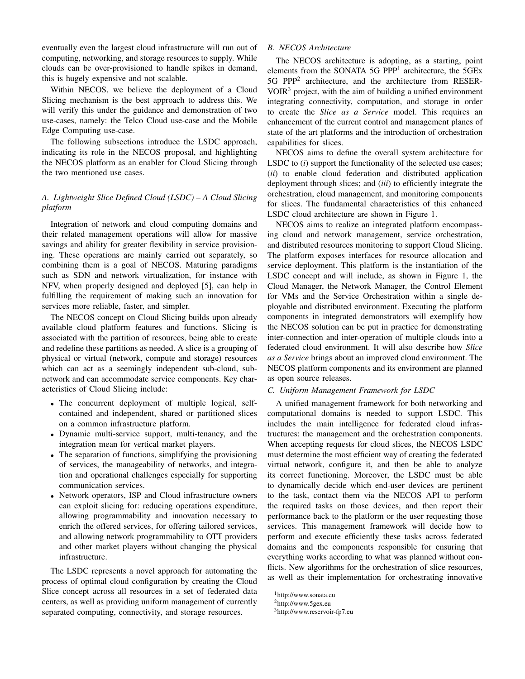eventually even the largest cloud infrastructure will run out of computing, networking, and storage resources to supply. While clouds can be over-provisioned to handle spikes in demand, this is hugely expensive and not scalable.

Within NECOS, we believe the deployment of a Cloud Slicing mechanism is the best approach to address this. We will verify this under the guidance and demonstration of two use-cases, namely: the Telco Cloud use-case and the Mobile Edge Computing use-case.

The following subsections introduce the LSDC approach, indicating its role in the NECOS proposal, and highlighting the NECOS platform as an enabler for Cloud Slicing through the two mentioned use cases.

# *A. Lightweight Slice Defined Cloud (LSDC) – A Cloud Slicing platform*

Integration of network and cloud computing domains and their related management operations will allow for massive savings and ability for greater flexibility in service provisioning. These operations are mainly carried out separately, so combining them is a goal of NECOS. Maturing paradigms such as SDN and network virtualization, for instance with NFV, when properly designed and deployed [5], can help in fulfilling the requirement of making such an innovation for services more reliable, faster, and simpler.

The NECOS concept on Cloud Slicing builds upon already available cloud platform features and functions. Slicing is associated with the partition of resources, being able to create and redefine these partitions as needed. A slice is a grouping of physical or virtual (network, compute and storage) resources which can act as a seemingly independent sub-cloud, subnetwork and can accommodate service components. Key characteristics of Cloud Slicing include:

- The concurrent deployment of multiple logical, selfcontained and independent, shared or partitioned slices on a common infrastructure platform.
- Dynamic multi-service support, multi-tenancy, and the integration mean for vertical market players.
- The separation of functions, simplifying the provisioning of services, the manageability of networks, and integration and operational challenges especially for supporting communication services.
- Network operators, ISP and Cloud infrastructure owners can exploit slicing for: reducing operations expenditure, allowing programmability and innovation necessary to enrich the offered services, for offering tailored services, and allowing network programmability to OTT providers and other market players without changing the physical infrastructure.

The LSDC represents a novel approach for automating the process of optimal cloud configuration by creating the Cloud Slice concept across all resources in a set of federated data centers, as well as providing uniform management of currently separated computing, connectivity, and storage resources.

# *B. NECOS Architecture*

The NECOS architecture is adopting, as a starting, point elements from the SONATA 5G PPP<sup>1</sup> architecture, the 5GEx 5G PPP<sup>2</sup> architecture, and the architecture from RESER- $VOIR<sup>3</sup>$  project, with the aim of building a unified environment integrating connectivity, computation, and storage in order to create the *Slice as a Service* model. This requires an enhancement of the current control and management planes of state of the art platforms and the introduction of orchestration capabilities for slices.

NECOS aims to define the overall system architecture for LSDC to (*i*) support the functionality of the selected use cases; (*ii*) to enable cloud federation and distributed application deployment through slices; and (*iii*) to efficiently integrate the orchestration, cloud management, and monitoring components for slices. The fundamental characteristics of this enhanced LSDC cloud architecture are shown in Figure 1.

NECOS aims to realize an integrated platform encompassing cloud and network management, service orchestration, and distributed resources monitoring to support Cloud Slicing. The platform exposes interfaces for resource allocation and service deployment. This platform is the instantiation of the LSDC concept and will include, as shown in Figure 1, the Cloud Manager, the Network Manager, the Control Element for VMs and the Service Orchestration within a single deployable and distributed environment. Executing the platform components in integrated demonstrators will exemplify how the NECOS solution can be put in practice for demonstrating inter-connection and inter-operation of multiple clouds into a federated cloud environment. It will also describe how *Slice as a Service* brings about an improved cloud environment. The NECOS platform components and its environment are planned as open source releases.

# *C. Uniform Management Framework for LSDC*

A unified management framework for both networking and computational domains is needed to support LSDC. This includes the main intelligence for federated cloud infrastructures: the management and the orchestration components. When accepting requests for cloud slices, the NECOS LSDC must determine the most efficient way of creating the federated virtual network, configure it, and then be able to analyze its correct functioning. Moreover, the LSDC must be able to dynamically decide which end-user devices are pertinent to the task, contact them via the NECOS API to perform the required tasks on those devices, and then report their performance back to the platform or the user requesting those services. This management framework will decide how to perform and execute efficiently these tasks across federated domains and the components responsible for ensuring that everything works according to what was planned without conflicts. New algorithms for the orchestration of slice resources, as well as their implementation for orchestrating innovative

<sup>1</sup>http://www.sonata.eu

<sup>2</sup>http://www.5gex.eu

<sup>3</sup>http://www.reservoir-fp7.eu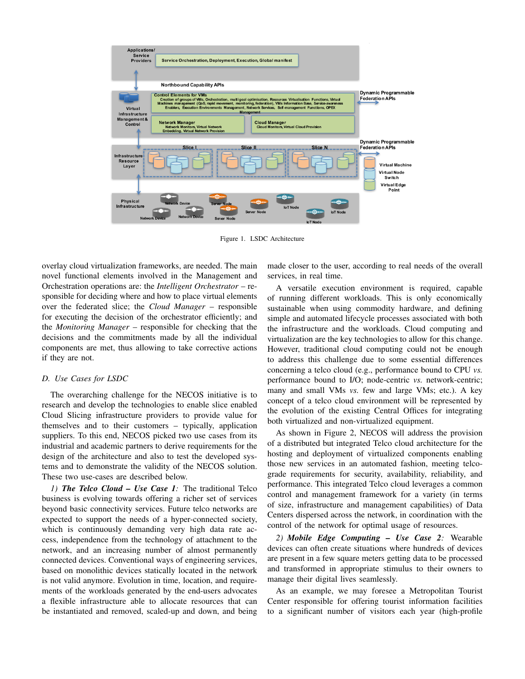

Figure 1. LSDC Architecture

overlay cloud virtualization frameworks, are needed. The main novel functional elements involved in the Management and Orchestration operations are: the *Intelligent Orchestrator* – responsible for deciding where and how to place virtual elements over the federated slice; the *Cloud Manager* – responsible for executing the decision of the orchestrator efficiently; and the *Monitoring Manager* – responsible for checking that the decisions and the commitments made by all the individual components are met, thus allowing to take corrective actions if they are not.

## *D. Use Cases for LSDC*

The overarching challenge for the NECOS initiative is to research and develop the technologies to enable slice enabled Cloud Slicing infrastructure providers to provide value for themselves and to their customers – typically, application suppliers. To this end, NECOS picked two use cases from its industrial and academic partners to derive requirements for the design of the architecture and also to test the developed systems and to demonstrate the validity of the NECOS solution. These two use-cases are described below.

*1) The Telco Cloud – Use Case 1:* The traditional Telco business is evolving towards offering a richer set of services beyond basic connectivity services. Future telco networks are expected to support the needs of a hyper-connected society, which is continuously demanding very high data rate access, independence from the technology of attachment to the network, and an increasing number of almost permanently connected devices. Conventional ways of engineering services, based on monolithic devices statically located in the network is not valid anymore. Evolution in time, location, and requirements of the workloads generated by the end-users advocates a flexible infrastructure able to allocate resources that can be instantiated and removed, scaled-up and down, and being

made closer to the user, according to real needs of the overall services, in real time.

A versatile execution environment is required, capable of running different workloads. This is only economically sustainable when using commodity hardware, and defining simple and automated lifecycle processes associated with both the infrastructure and the workloads. Cloud computing and virtualization are the key technologies to allow for this change. However, traditional cloud computing could not be enough to address this challenge due to some essential differences concerning a telco cloud (e.g., performance bound to CPU *vs.* performance bound to I/O; node-centric *vs.* network-centric; many and small VMs *vs.* few and large VMs; etc.). A key concept of a telco cloud environment will be represented by the evolution of the existing Central Offices for integrating both virtualized and non-virtualized equipment.

As shown in Figure 2, NECOS will address the provision of a distributed but integrated Telco cloud architecture for the hosting and deployment of virtualized components enabling those new services in an automated fashion, meeting telcograde requirements for security, availability, reliability, and performance. This integrated Telco cloud leverages a common control and management framework for a variety (in terms of size, infrastructure and management capabilities) of Data Centers dispersed across the network, in coordination with the control of the network for optimal usage of resources.

*2) Mobile Edge Computing – Use Case 2:* Wearable devices can often create situations where hundreds of devices are present in a few square meters getting data to be processed and transformed in appropriate stimulus to their owners to manage their digital lives seamlessly.

As an example, we may foresee a Metropolitan Tourist Center responsible for offering tourist information facilities to a significant number of visitors each year (high-profile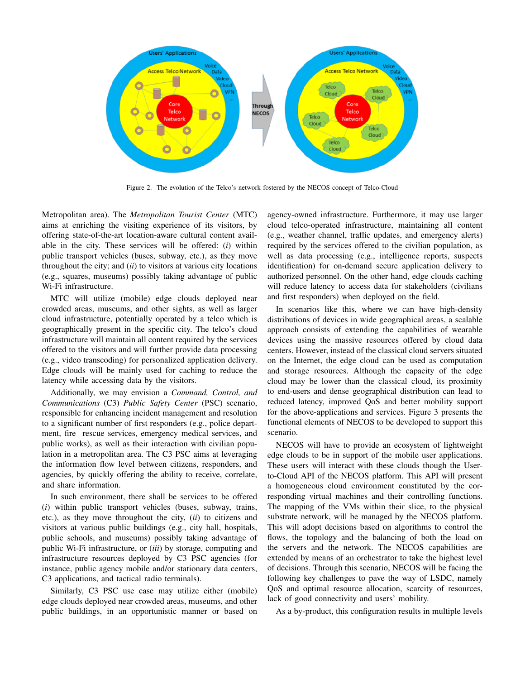

Figure 2. The evolution of the Telco's network fostered by the NECOS concept of Telco-Cloud

Metropolitan area). The *Metropolitan Tourist Center* (MTC) aims at enriching the visiting experience of its visitors, by offering state-of-the-art location-aware cultural content available in the city. These services will be offered: (*i*) within public transport vehicles (buses, subway, etc.), as they move throughout the city; and (*ii*) to visitors at various city locations (e.g., squares, museums) possibly taking advantage of public Wi-Fi infrastructure.

MTC will utilize (mobile) edge clouds deployed near crowded areas, museums, and other sights, as well as larger cloud infrastructure, potentially operated by a telco which is geographically present in the specific city. The telco's cloud infrastructure will maintain all content required by the services offered to the visitors and will further provide data processing (e.g., video transcoding) for personalized application delivery. Edge clouds will be mainly used for caching to reduce the latency while accessing data by the visitors.

Additionally, we may envision a *Command, Control, and Communications* (C3) *Public Safety Center* (PSC) scenario, responsible for enhancing incident management and resolution to a significant number of first responders (e.g., police department, fire rescue services, emergency medical services, and public works), as well as their interaction with civilian population in a metropolitan area. The C3 PSC aims at leveraging the information flow level between citizens, responders, and agencies, by quickly offering the ability to receive, correlate, and share information.

In such environment, there shall be services to be offered (*i*) within public transport vehicles (buses, subway, trains, etc.), as they move throughout the city, (*ii*) to citizens and visitors at various public buildings (e.g., city hall, hospitals, public schools, and museums) possibly taking advantage of public Wi-Fi infrastructure, or (*iii*) by storage, computing and infrastructure resources deployed by C3 PSC agencies (for instance, public agency mobile and/or stationary data centers, C3 applications, and tactical radio terminals).

Similarly, C3 PSC use case may utilize either (mobile) edge clouds deployed near crowded areas, museums, and other public buildings, in an opportunistic manner or based on agency-owned infrastructure. Furthermore, it may use larger cloud telco-operated infrastructure, maintaining all content (e.g., weather channel, traffic updates, and emergency alerts) required by the services offered to the civilian population, as well as data processing (e.g., intelligence reports, suspects identification) for on-demand secure application delivery to authorized personnel. On the other hand, edge clouds caching will reduce latency to access data for stakeholders (civilians and first responders) when deployed on the field.

In scenarios like this, where we can have high-density distributions of devices in wide geographical areas, a scalable approach consists of extending the capabilities of wearable devices using the massive resources offered by cloud data centers. However, instead of the classical cloud servers situated on the Internet, the edge cloud can be used as computation and storage resources. Although the capacity of the edge cloud may be lower than the classical cloud, its proximity to end-users and dense geographical distribution can lead to reduced latency, improved QoS and better mobility support for the above-applications and services. Figure 3 presents the functional elements of NECOS to be developed to support this scenario.

NECOS will have to provide an ecosystem of lightweight edge clouds to be in support of the mobile user applications. These users will interact with these clouds though the Userto-Cloud API of the NECOS platform. This API will present a homogeneous cloud environment constituted by the corresponding virtual machines and their controlling functions. The mapping of the VMs within their slice, to the physical substrate network, will be managed by the NECOS platform. This will adopt decisions based on algorithms to control the flows, the topology and the balancing of both the load on the servers and the network. The NECOS capabilities are extended by means of an orchestrator to take the highest level of decisions. Through this scenario, NECOS will be facing the following key challenges to pave the way of LSDC, namely QoS and optimal resource allocation, scarcity of resources, lack of good connectivity and users' mobility.

As a by-product, this configuration results in multiple levels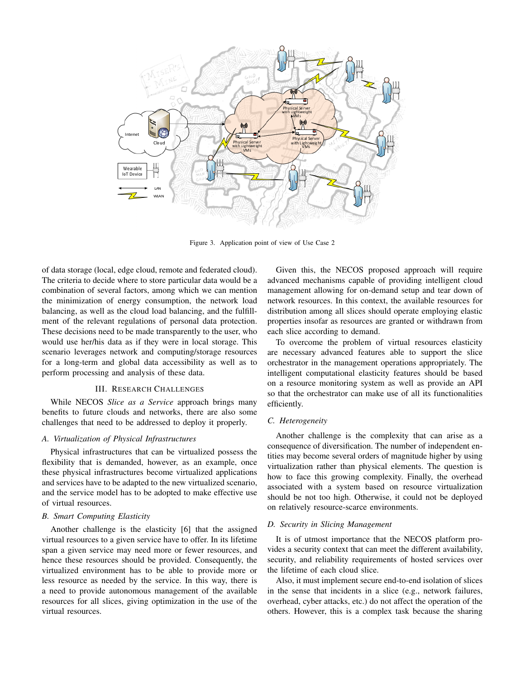

Figure 3. Application point of view of Use Case 2

of data storage (local, edge cloud, remote and federated cloud). The criteria to decide where to store particular data would be a combination of several factors, among which we can mention the minimization of energy consumption, the network load balancing, as well as the cloud load balancing, and the fulfillment of the relevant regulations of personal data protection. These decisions need to be made transparently to the user, who would use her/his data as if they were in local storage. This scenario leverages network and computing/storage resources for a long-term and global data accessibility as well as to perform processing and analysis of these data.

# III. RESEARCH CHALLENGES

While NECOS *Slice as a Service* approach brings many benefits to future clouds and networks, there are also some challenges that need to be addressed to deploy it properly.

# *A. Virtualization of Physical Infrastructures*

Physical infrastructures that can be virtualized possess the flexibility that is demanded, however, as an example, once these physical infrastructures become virtualized applications and services have to be adapted to the new virtualized scenario, and the service model has to be adopted to make effective use of virtual resources.

# *B. Smart Computing Elasticity*

Another challenge is the elasticity [6] that the assigned virtual resources to a given service have to offer. In its lifetime span a given service may need more or fewer resources, and hence these resources should be provided. Consequently, the virtualized environment has to be able to provide more or less resource as needed by the service. In this way, there is a need to provide autonomous management of the available resources for all slices, giving optimization in the use of the virtual resources.

Given this, the NECOS proposed approach will require advanced mechanisms capable of providing intelligent cloud management allowing for on-demand setup and tear down of network resources. In this context, the available resources for distribution among all slices should operate employing elastic properties insofar as resources are granted or withdrawn from each slice according to demand.

To overcome the problem of virtual resources elasticity are necessary advanced features able to support the slice orchestrator in the management operations appropriately. The intelligent computational elasticity features should be based on a resource monitoring system as well as provide an API so that the orchestrator can make use of all its functionalities efficiently.

## *C. Heterogeneity*

Another challenge is the complexity that can arise as a consequence of diversification. The number of independent entities may become several orders of magnitude higher by using virtualization rather than physical elements. The question is how to face this growing complexity. Finally, the overhead associated with a system based on resource virtualization should be not too high. Otherwise, it could not be deployed on relatively resource-scarce environments.

#### *D. Security in Slicing Management*

It is of utmost importance that the NECOS platform provides a security context that can meet the different availability, security, and reliability requirements of hosted services over the lifetime of each cloud slice.

Also, it must implement secure end-to-end isolation of slices in the sense that incidents in a slice (e.g., network failures, overhead, cyber attacks, etc.) do not affect the operation of the others. However, this is a complex task because the sharing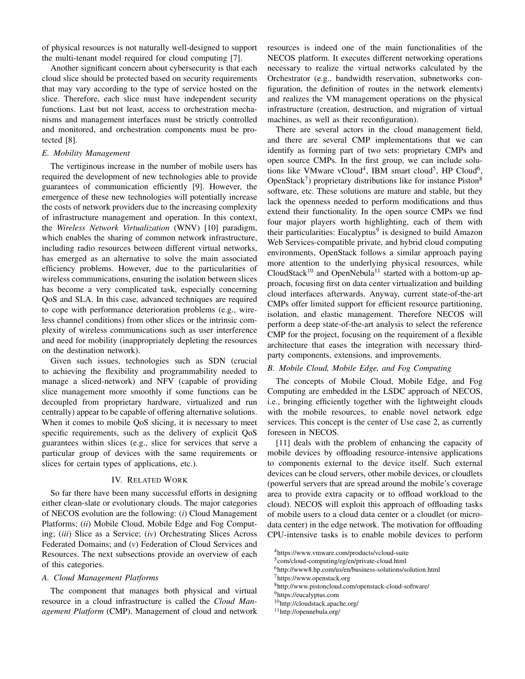of physical resources is not naturally well-designed to support the multi-tenant model required for cloud computing [7].

Another significant concern about cybersecurity is that each cloud slice should be protected based on security requirements that may vary according to the type of service hosted on the slice. Therefore, each slice must have independent security functions. Last but not least, access to orchestration mechanisms and management interfaces must be strictly controlled and monitored, and orchestration components must be protected [8].

## *E. Mobility Management*

The vertiginous increase in the number of mobile users has required the development of new technologies able to provide guarantees of communication efficiently [9]. However, the emergence of these new technologies will potentially increase the costs of network providers due to the increasing complexity of infrastructure management and operation. In this context, the *Wireless Network Virtualization* (WNV) [10] paradigm, which enables the sharing of common network infrastructure, including radio resources between different virtual networks, has emerged as an alternative to solve the main associated efficiency problems. However, due to the particularities of wireless communications, ensuring the isolation between slices has become a very complicated task, especially concerning QoS and SLA. In this case, advanced techniques are required to cope with performance deterioration problems (e.g., wireless channel conditions) from other slices or the intrinsic complexity of wireless communications such as user interference and need for mobility (inappropriately depleting the resources on the destination network).

Given such issues, technologies such as SDN (crucial to achieving the flexibility and programmability needed to manage a sliced-network) and NFV (capable of providing slice management more smoothly if some functions can be decoupled from proprietary hardware, virtualized and run centrally) appear to be capable of offering alternative solutions. When it comes to mobile QoS slicing, it is necessary to meet specific requirements, such as the delivery of explicit QoS guarantees within slices (e.g., slice for services that serve a particular group of devices with the same requirements or slices for certain types of applications, etc.).

# IV. RELATED WORK

So far there have been many successful efforts in designing either clean-slate or evolutionary clouds. The major categories of NECOS evolution are the following: (*i*) Cloud Management Platforms; (*ii*) Mobile Cloud, Mobile Edge and Fog Computing; (*iii*) Slice as a Service; (*iv*) Orchestrating Slices Across Federated Domains; and (*v*) Federation of Cloud Services and Resources. The next subsections provide an overview of each of this categories.

#### *A. Cloud Management Platforms*

The component that manages both physical and virtual resource in a cloud infrastructure is called the *Cloud Management Platform* (CMP). Management of cloud and network resources is indeed one of the main functionalities of the NECOS platform. It executes different networking operations necessary to realize the virtual networks calculated by the Orchestrator (e.g., bandwidth reservation, subnetworks configuration, the definition of routes in the network elements) and realizes the VM management operations on the physical infrastructure (creation, destruction, and migration of virtual machines, as well as their reconfiguration).

There are several actors in the cloud management field, and there are several CMP implementations that we can identify as forming part of two sets: proprietary CMPs and open source CMPs. In the first group, we can include solutions like VMware vCloud<sup>4</sup>, IBM smart cloud<sup>5</sup>, HP Cloud<sup>6</sup>, OpenStack<sup>7</sup>) proprietary distributions like for instance Piston<sup>8</sup> software, etc. These solutions are mature and stable, but they lack the openness needed to perform modifications and thus extend their functionality. In the open source CMPs we find four major players worth highlighting, each of them with their particularities: Eucalyptus<sup>9</sup> is designed to build Amazon Web Services-compatible private, and hybrid cloud computing environments, OpenStack follows a similar approach paying more attention to the underlying physical resources, while  $CloudStack<sup>10</sup>$  and OpenNebula<sup>11</sup> started with a bottom-up approach, focusing first on data center virtualization and building cloud interfaces afterwards. Anyway, current state-of-the-art CMPs offer limited support for efficient resource partitioning, isolation, and elastic management. Therefore NECOS will perform a deep state-of-the-art analysis to select the reference CMP for the project, focusing on the requirement of a flexible architecture that eases the integration with necessary thirdparty components, extensions, and improvements.

# *B. Mobile Cloud, Mobile Edge, and Fog Computing*

The concepts of Mobile Cloud, Mobile Edge, and Fog Computing are embedded in the LSDC approach of NECOS, i.e., bringing efficiently together with the lightweight clouds with the mobile resources, to enable novel network edge services. This concept is the center of Use case 2, as currently foreseen in NECOS.

[11] deals with the problem of enhancing the capacity of mobile devices by offloading resource-intensive applications to components external to the device itself. Such external devices can be cloud servers, other mobile devices, or cloudlets (powerful servers that are spread around the mobile's coverage area to provide extra capacity or to offload workload to the cloud). NECOS will exploit this approach of offloading tasks of mobile users to a cloud data center or a cloudlet (or microdata center) in the edge network. The motivation for offloading CPU-intensive tasks is to enable mobile devices to perform

<sup>4</sup>https://www.vmware.com/products/vcloud-suite

<sup>5</sup> com/cloud-computing/eg/en/private-cloud.html

<sup>6</sup>http://www8.hp.com/us/en/business-solutions/solution.html

<sup>7</sup>https://www.openstack.org

<sup>8</sup>http://www.pistoncloud.com/openstack-cloud-software/

<sup>&</sup>lt;sup>9</sup>https://eucalyptus.com

<sup>10</sup>http://cloudstack.apache.org/

<sup>11</sup>http://opennebula.org/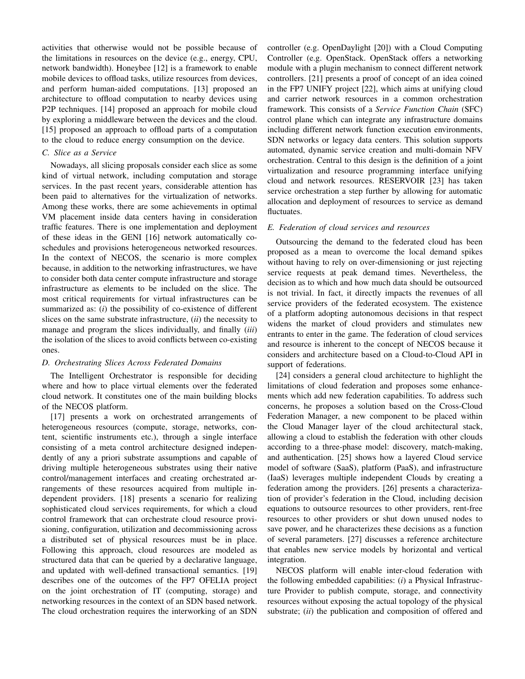activities that otherwise would not be possible because of the limitations in resources on the device (e.g., energy, CPU, network bandwidth). Honeybee [12] is a framework to enable mobile devices to offload tasks, utilize resources from devices, and perform human-aided computations. [13] proposed an architecture to offload computation to nearby devices using P2P techniques. [14] proposed an approach for mobile cloud by exploring a middleware between the devices and the cloud. [15] proposed an approach to offload parts of a computation to the cloud to reduce energy consumption on the device.

## *C. Slice as a Service*

Nowadays, all slicing proposals consider each slice as some kind of virtual network, including computation and storage services. In the past recent years, considerable attention has been paid to alternatives for the virtualization of networks. Among these works, there are some achievements in optimal VM placement inside data centers having in consideration traffic features. There is one implementation and deployment of these ideas in the GENI [16] network automatically coschedules and provisions heterogeneous networked resources. In the context of NECOS, the scenario is more complex because, in addition to the networking infrastructures, we have to consider both data center compute infrastructure and storage infrastructure as elements to be included on the slice. The most critical requirements for virtual infrastructures can be summarized as: (*i*) the possibility of co-existence of different slices on the same substrate infrastructure, (*ii*) the necessity to manage and program the slices individually, and finally (*iii*) the isolation of the slices to avoid conflicts between co-existing ones.

## *D. Orchestrating Slices Across Federated Domains*

The Intelligent Orchestrator is responsible for deciding where and how to place virtual elements over the federated cloud network. It constitutes one of the main building blocks of the NECOS platform.

[17] presents a work on orchestrated arrangements of heterogeneous resources (compute, storage, networks, content, scientific instruments etc.), through a single interface consisting of a meta control architecture designed independently of any a priori substrate assumptions and capable of driving multiple heterogeneous substrates using their native control/management interfaces and creating orchestrated arrangements of these resources acquired from multiple independent providers. [18] presents a scenario for realizing sophisticated cloud services requirements, for which a cloud control framework that can orchestrate cloud resource provisioning, configuration, utilization and decommissioning across a distributed set of physical resources must be in place. Following this approach, cloud resources are modeled as structured data that can be queried by a declarative language, and updated with well-defined transactional semantics. [19] describes one of the outcomes of the FP7 OFELIA project on the joint orchestration of IT (computing, storage) and networking resources in the context of an SDN based network. The cloud orchestration requires the interworking of an SDN controller (e.g. OpenDaylight [20]) with a Cloud Computing Controller (e.g. OpenStack. OpenStack offers a networking module with a plugin mechanism to connect different network controllers. [21] presents a proof of concept of an idea coined in the FP7 UNIFY project [22], which aims at unifying cloud and carrier network resources in a common orchestration framework. This consists of a *Service Function Chain* (SFC) control plane which can integrate any infrastructure domains including different network function execution environments, SDN networks or legacy data centers. This solution supports automated, dynamic service creation and multi-domain NFV orchestration. Central to this design is the definition of a joint virtualization and resource programming interface unifying cloud and network resources. RESERVOIR [23] has taken service orchestration a step further by allowing for automatic allocation and deployment of resources to service as demand fluctuates.

## *E. Federation of cloud services and resources*

Outsourcing the demand to the federated cloud has been proposed as a mean to overcome the local demand spikes without having to rely on over-dimensioning or just rejecting service requests at peak demand times. Nevertheless, the decision as to which and how much data should be outsourced is not trivial. In fact, it directly impacts the revenues of all service providers of the federated ecosystem. The existence of a platform adopting autonomous decisions in that respect widens the market of cloud providers and stimulates new entrants to enter in the game. The federation of cloud services and resource is inherent to the concept of NECOS because it considers and architecture based on a Cloud-to-Cloud API in support of federations.

[24] considers a general cloud architecture to highlight the limitations of cloud federation and proposes some enhancements which add new federation capabilities. To address such concerns, he proposes a solution based on the Cross-Cloud Federation Manager, a new component to be placed within the Cloud Manager layer of the cloud architectural stack, allowing a cloud to establish the federation with other clouds according to a three-phase model: discovery, match-making, and authentication. [25] shows how a layered Cloud service model of software (SaaS), platform (PaaS), and infrastructure (IaaS) leverages multiple independent Clouds by creating a federation among the providers. [26] presents a characterization of provider's federation in the Cloud, including decision equations to outsource resources to other providers, rent-free resources to other providers or shut down unused nodes to save power, and he characterizes these decisions as a function of several parameters. [27] discusses a reference architecture that enables new service models by horizontal and vertical integration.

NECOS platform will enable inter-cloud federation with the following embedded capabilities: (*i*) a Physical Infrastructure Provider to publish compute, storage, and connectivity resources without exposing the actual topology of the physical substrate; (*ii*) the publication and composition of offered and